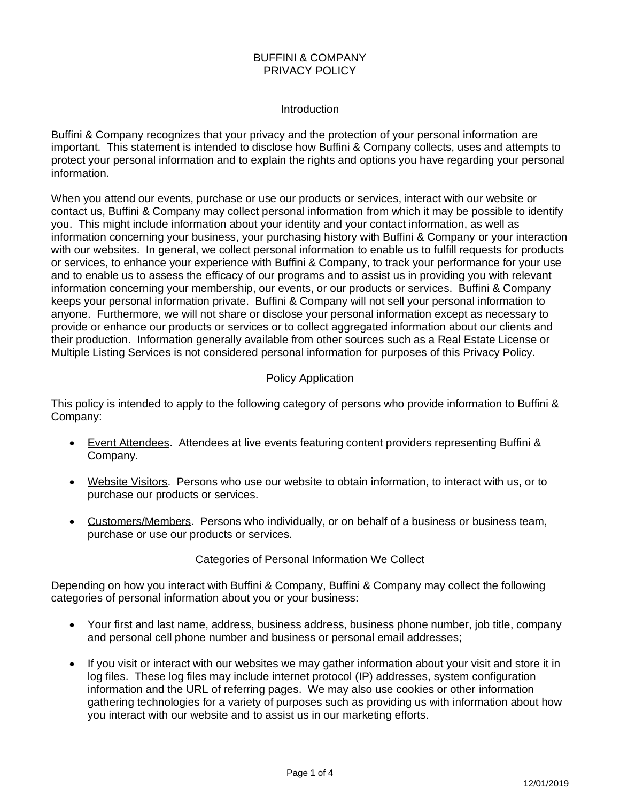## BUFFINI & COMPANY PRIVACY POLICY

#### Introduction

Buffini & Company recognizes that your privacy and the protection of your personal information are important. This statement is intended to disclose how Buffini & Company collects, uses and attempts to protect your personal information and to explain the rights and options you have regarding your personal information.

When you attend our events, purchase or use our products or services, interact with our website or contact us, Buffini & Company may collect personal information from which it may be possible to identify you. This might include information about your identity and your contact information, as well as information concerning your business, your purchasing history with Buffini & Company or your interaction with our websites. In general, we collect personal information to enable us to fulfill requests for products or services, to enhance your experience with Buffini & Company, to track your performance for your use and to enable us to assess the efficacy of our programs and to assist us in providing you with relevant information concerning your membership, our events, or our products or services. Buffini & Company keeps your personal information private. Buffini & Company will not sell your personal information to anyone. Furthermore, we will not share or disclose your personal information except as necessary to provide or enhance our products or services or to collect aggregated information about our clients and their production. Information generally available from other sources such as a Real Estate License or Multiple Listing Services is not considered personal information for purposes of this Privacy Policy.

## Policy Application

This policy is intended to apply to the following category of persons who provide information to Buffini & Company:

- Event Attendees. Attendees at live events featuring content providers representing Buffini & Company.
- Website Visitors. Persons who use our website to obtain information, to interact with us, or to purchase our products or services.
- Customers/Members. Persons who individually, or on behalf of a business or business team, purchase or use our products or services.

# Categories of Personal Information We Collect

Depending on how you interact with Buffini & Company, Buffini & Company may collect the following categories of personal information about you or your business:

- Your first and last name, address, business address, business phone number, job title, company and personal cell phone number and business or personal email addresses;
- If you visit or interact with our websites we may gather information about your visit and store it in log files. These log files may include internet protocol (IP) addresses, system configuration information and the URL of referring pages. We may also use cookies or other information gathering technologies for a variety of purposes such as providing us with information about how you interact with our website and to assist us in our marketing efforts.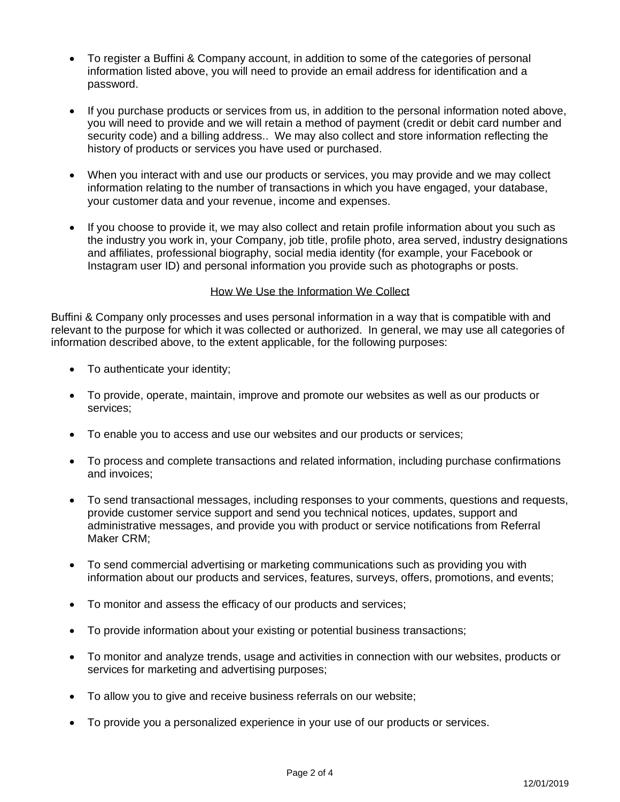- To register a Buffini & Company account, in addition to some of the categories of personal information listed above, you will need to provide an email address for identification and a password.
- If you purchase products or services from us, in addition to the personal information noted above, you will need to provide and we will retain a method of payment (credit or debit card number and security code) and a billing address.. We may also collect and store information reflecting the history of products or services you have used or purchased.
- When you interact with and use our products or services, you may provide and we may collect information relating to the number of transactions in which you have engaged, your database, your customer data and your revenue, income and expenses.
- If you choose to provide it, we may also collect and retain profile information about you such as the industry you work in, your Company, job title, profile photo, area served, industry designations and affiliates, professional biography, social media identity (for example, your Facebook or Instagram user ID) and personal information you provide such as photographs or posts.

## How We Use the Information We Collect

Buffini & Company only processes and uses personal information in a way that is compatible with and relevant to the purpose for which it was collected or authorized. In general, we may use all categories of information described above, to the extent applicable, for the following purposes:

- To authenticate your identity;
- To provide, operate, maintain, improve and promote our websites as well as our products or services;
- To enable you to access and use our websites and our products or services;
- To process and complete transactions and related information, including purchase confirmations and invoices;
- To send transactional messages, including responses to your comments, questions and requests, provide customer service support and send you technical notices, updates, support and administrative messages, and provide you with product or service notifications from Referral Maker CRM;
- To send commercial advertising or marketing communications such as providing you with information about our products and services, features, surveys, offers, promotions, and events;
- To monitor and assess the efficacy of our products and services;
- To provide information about your existing or potential business transactions;
- To monitor and analyze trends, usage and activities in connection with our websites, products or services for marketing and advertising purposes;
- To allow you to give and receive business referrals on our website;
- To provide you a personalized experience in your use of our products or services.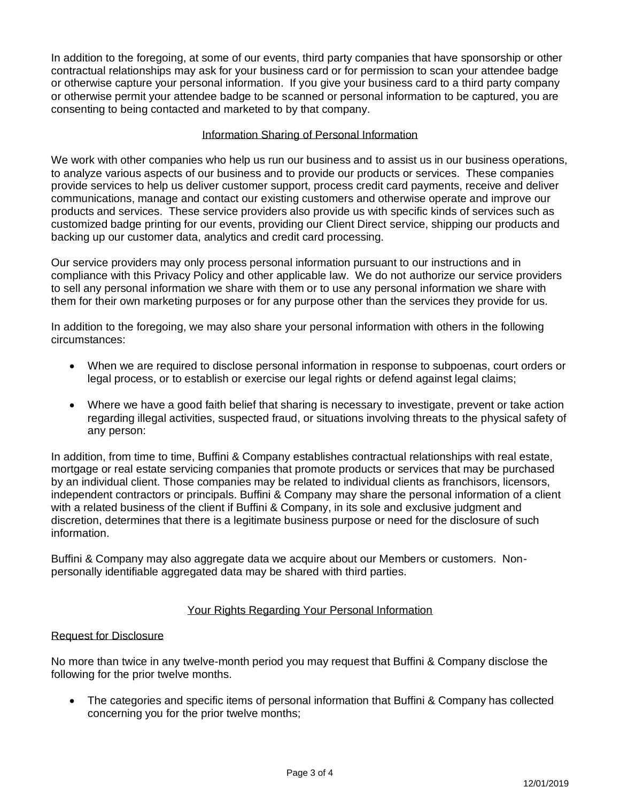In addition to the foregoing, at some of our events, third party companies that have sponsorship or other contractual relationships may ask for your business card or for permission to scan your attendee badge or otherwise capture your personal information. If you give your business card to a third party company or otherwise permit your attendee badge to be scanned or personal information to be captured, you are consenting to being contacted and marketed to by that company.

# Information Sharing of Personal Information

We work with other companies who help us run our business and to assist us in our business operations, to analyze various aspects of our business and to provide our products or services. These companies provide services to help us deliver customer support, process credit card payments, receive and deliver communications, manage and contact our existing customers and otherwise operate and improve our products and services. These service providers also provide us with specific kinds of services such as customized badge printing for our events, providing our Client Direct service, shipping our products and backing up our customer data, analytics and credit card processing.

Our service providers may only process personal information pursuant to our instructions and in compliance with this Privacy Policy and other applicable law. We do not authorize our service providers to sell any personal information we share with them or to use any personal information we share with them for their own marketing purposes or for any purpose other than the services they provide for us.

In addition to the foregoing, we may also share your personal information with others in the following circumstances:

- When we are required to disclose personal information in response to subpoenas, court orders or legal process, or to establish or exercise our legal rights or defend against legal claims;
- Where we have a good faith belief that sharing is necessary to investigate, prevent or take action regarding illegal activities, suspected fraud, or situations involving threats to the physical safety of any person:

In addition, from time to time, Buffini & Company establishes contractual relationships with real estate, mortgage or real estate servicing companies that promote products or services that may be purchased by an individual client. Those companies may be related to individual clients as franchisors, licensors, independent contractors or principals. Buffini & Company may share the personal information of a client with a related business of the client if Buffini & Company, in its sole and exclusive judgment and discretion, determines that there is a legitimate business purpose or need for the disclosure of such information.

Buffini & Company may also aggregate data we acquire about our Members or customers. Nonpersonally identifiable aggregated data may be shared with third parties.

# Your Rights Regarding Your Personal Information

#### Request for Disclosure

No more than twice in any twelve-month period you may request that Buffini & Company disclose the following for the prior twelve months.

• The categories and specific items of personal information that Buffini & Company has collected concerning you for the prior twelve months;